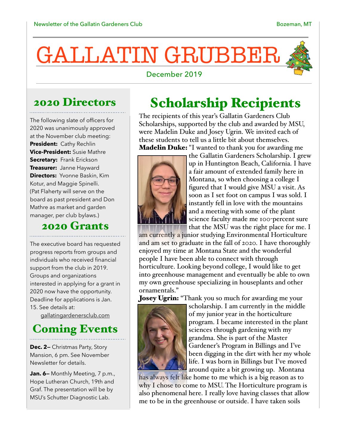# GALLATIN GRUBBER



#### December 2019

#### 2020 Directors

The following slate of officers for 2020 was unanimously approved at the November club meeting: **President:** Cathy Rechlin **Vice-President:** Susie Mathre **Secretary:** Frank Erickson **Treasurer:** Janne Hayward **Directors:** Yvonne Baskin, Kim Kotur, and Maggie Spinelli. (Pat Flaherty will serve on the board as past president and Don Mathre as market and garden manager, per club bylaws.)

# 2020 Grants

The executive board has requested progress reports from groups and individuals who received financial support from the club in 2019. Groups and organizations interested in applying for a grant in 2020 now have the opportunity. Deadline for applications is Jan. 15. See details at:

[gallatingardenersclub.com](http://gallatingardenersclub.com)

### Coming Events

**Dec. 2—** Christmas Party, Story Mansion, 6 pm. See November Newsletter for details.

Jan. 6- Monthly Meeting, 7 p.m., Hope Lutheran Church, 19th and Graf. The presentation will be by MSU's Schutter Diagnostic Lab.

## Scholarship Recipients

The recipients of this year's Gallatin Gardeners Club Scholarships, supported by the club and awarded by MSU, were Madelin Duke and Josey Ugrin. We invited each of these students to tell us a little bit about themselves. **Madelin Duke:** "I wanted to thank you for awarding me



the Gallatin Gardeners Scholarship. I grew up in Huntington Beach, California. I have a fair amount of extended family here in Montana, so when choosing a college I figured that I would give MSU a visit. As soon as I set foot on campus I was sold. I instantly fell in love with the mountains and a meeting with some of the plant science faculty made me 100-percent sure that the MSU was the right place for me. I

am currently a junior studying Environmental Horticulture and am set to graduate in the fall of 2020. I have thoroughly enjoyed my time at Montana State and the wonderful people I have been able to connect with through horticulture. Looking beyond college, I would like to get into greenhouse management and eventually be able to own my own greenhouse specializing in houseplants and other ornamentals."

Josey Ugrin: "Thank you so much for awarding me your



scholarship. I am currently in the middle of my junior year in the horticulture program. I became interested in the plant sciences through gardening with my grandma. She is part of the Master Gardener's Program in Billings and I've been digging in the dirt with her my whole life. I was born in Billings but I've moved around quite a bit growing up. Montana

has always felt like home to me which is a big reason as to why I chose to come to MSU. The Horticulture program is also phenomenal here. I really love having classes that allow me to be in the greenhouse or outside. I have taken soils